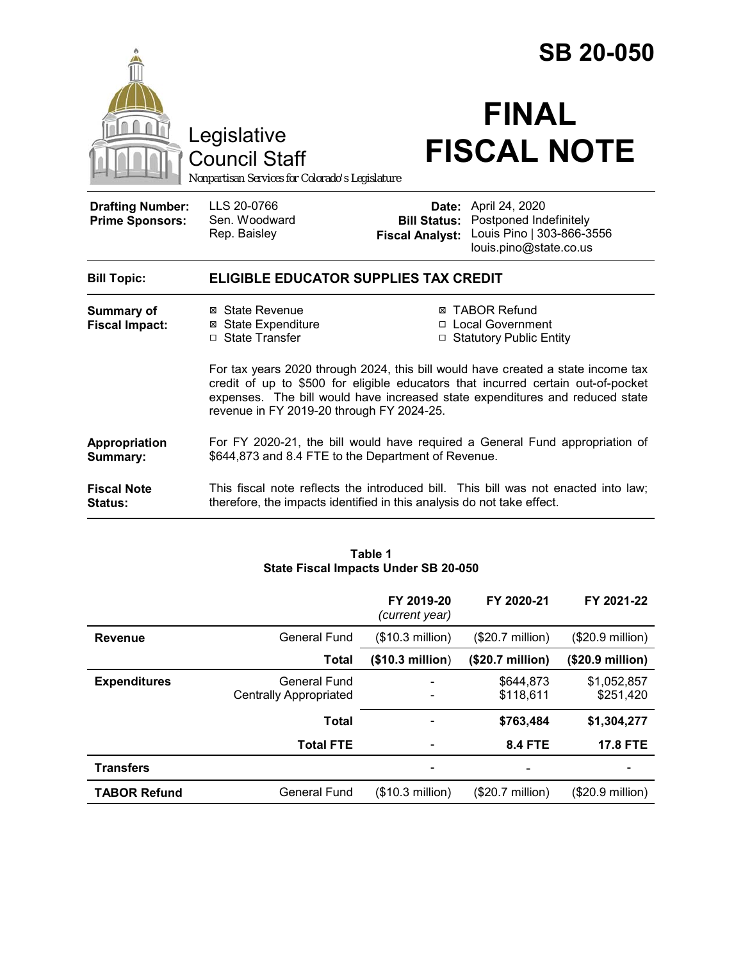|                                                   |                                                                                                                                                                                                                                                                                                   |                        | <b>SB 20-050</b>                                                                                                                 |
|---------------------------------------------------|---------------------------------------------------------------------------------------------------------------------------------------------------------------------------------------------------------------------------------------------------------------------------------------------------|------------------------|----------------------------------------------------------------------------------------------------------------------------------|
|                                                   | Legislative<br><b>Council Staff</b><br>Nonpartisan Services for Colorado's Legislature                                                                                                                                                                                                            |                        | <b>FINAL</b><br><b>FISCAL NOTE</b>                                                                                               |
| <b>Drafting Number:</b><br><b>Prime Sponsors:</b> | LLS 20-0766<br>Sen. Woodward<br>Rep. Baisley                                                                                                                                                                                                                                                      | <b>Fiscal Analyst:</b> | <b>Date:</b> April 24, 2020<br><b>Bill Status: Postponed Indefinitely</b><br>Louis Pino   303-866-3556<br>louis.pino@state.co.us |
| <b>Bill Topic:</b>                                | <b>ELIGIBLE EDUCATOR SUPPLIES TAX CREDIT</b>                                                                                                                                                                                                                                                      |                        |                                                                                                                                  |
| <b>Summary of</b><br><b>Fiscal Impact:</b>        | ⊠ State Revenue<br><b>⊠</b> State Expenditure<br>□ State Transfer                                                                                                                                                                                                                                 |                        | ⊠ TABOR Refund<br>□ Local Government<br>□ Statutory Public Entity                                                                |
|                                                   | For tax years 2020 through 2024, this bill would have created a state income tax<br>credit of up to \$500 for eligible educators that incurred certain out-of-pocket<br>expenses. The bill would have increased state expenditures and reduced state<br>revenue in FY 2019-20 through FY 2024-25. |                        |                                                                                                                                  |
| Appropriation<br>Summary:                         | For FY 2020-21, the bill would have required a General Fund appropriation of<br>\$644,873 and 8.4 FTE to the Department of Revenue.                                                                                                                                                               |                        |                                                                                                                                  |
| <b>Fiscal Note</b><br>Status:                     | therefore, the impacts identified in this analysis do not take effect.                                                                                                                                                                                                                            |                        | This fiscal note reflects the introduced bill. This bill was not enacted into law;                                               |

| Table 1                              |  |  |  |  |
|--------------------------------------|--|--|--|--|
| State Fiscal Impacts Under SB 20-050 |  |  |  |  |

|                     |                                               | FY 2019-20<br>(current year) | FY 2020-21                | FY 2021-22               |
|---------------------|-----------------------------------------------|------------------------------|---------------------------|--------------------------|
| <b>Revenue</b>      | General Fund                                  | (\$10.3 million)             | $($20.7 \text{ million})$ | (\$20.9 million)         |
|                     | Total                                         | (\$10.3 million)             | (\$20.7 million)          | (\$20.9 million)         |
| <b>Expenditures</b> | General Fund<br><b>Centrally Appropriated</b> |                              | \$644,873<br>\$118,611    | \$1,052,857<br>\$251,420 |
|                     | <b>Total</b>                                  |                              | \$763,484                 | \$1,304,277              |
|                     | <b>Total FTE</b>                              |                              | <b>8.4 FTE</b>            | <b>17.8 FTE</b>          |
| <b>Transfers</b>    |                                               |                              |                           |                          |
| <b>TABOR Refund</b> | General Fund                                  | (\$10.3 million)             | $(\$20.7$ million)        | $(\$20.9$ million)       |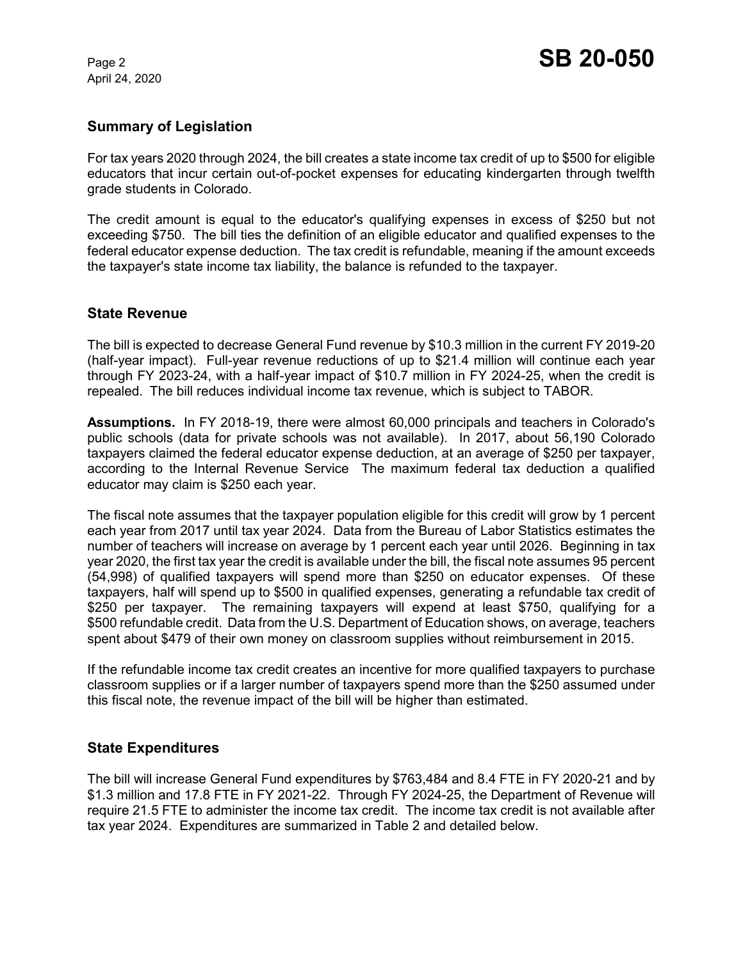April 24, 2020

# **Summary of Legislation**

For tax years 2020 through 2024, the bill creates a state income tax credit of up to \$500 for eligible educators that incur certain out-of-pocket expenses for educating kindergarten through twelfth grade students in Colorado.

The credit amount is equal to the educator's qualifying expenses in excess of \$250 but not exceeding \$750. The bill ties the definition of an eligible educator and qualified expenses to the federal educator expense deduction. The tax credit is refundable, meaning if the amount exceeds the taxpayer's state income tax liability, the balance is refunded to the taxpayer.

# **State Revenue**

The bill is expected to decrease General Fund revenue by \$10.3 million in the current FY 2019-20 (half-year impact). Full-year revenue reductions of up to \$21.4 million will continue each year through FY 2023-24, with a half-year impact of \$10.7 million in FY 2024-25, when the credit is repealed. The bill reduces individual income tax revenue, which is subject to TABOR.

**Assumptions.** In FY 2018-19, there were almost 60,000 principals and teachers in Colorado's public schools (data for private schools was not available). In 2017, about 56,190 Colorado taxpayers claimed the federal educator expense deduction, at an average of \$250 per taxpayer, according to the Internal Revenue Service The maximum federal tax deduction a qualified educator may claim is \$250 each year.

The fiscal note assumes that the taxpayer population eligible for this credit will grow by 1 percent each year from 2017 until tax year 2024. Data from the Bureau of Labor Statistics estimates the number of teachers will increase on average by 1 percent each year until 2026. Beginning in tax year 2020, the first tax year the credit is available under the bill, the fiscal note assumes 95 percent (54,998) of qualified taxpayers will spend more than \$250 on educator expenses. Of these taxpayers, half will spend up to \$500 in qualified expenses, generating a refundable tax credit of \$250 per taxpayer. The remaining taxpayers will expend at least \$750, qualifying for a \$500 refundable credit. Data from the U.S. Department of Education shows, on average, teachers spent about \$479 of their own money on classroom supplies without reimbursement in 2015.

If the refundable income tax credit creates an incentive for more qualified taxpayers to purchase classroom supplies or if a larger number of taxpayers spend more than the \$250 assumed under this fiscal note, the revenue impact of the bill will be higher than estimated.

# **State Expenditures**

The bill will increase General Fund expenditures by \$763,484 and 8.4 FTE in FY 2020-21 and by \$1.3 million and 17.8 FTE in FY 2021-22. Through FY 2024-25, the Department of Revenue will require 21.5 FTE to administer the income tax credit. The income tax credit is not available after tax year 2024. Expenditures are summarized in Table 2 and detailed below.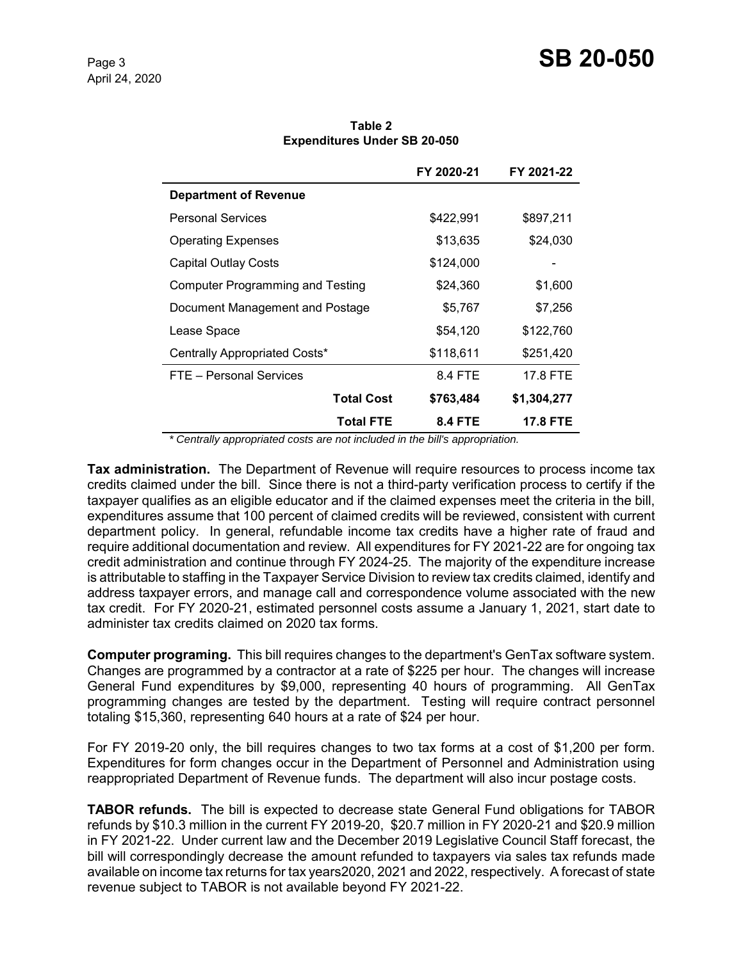|                                         | FY 2020-21 | FY 2021-22 |
|-----------------------------------------|------------|------------|
| <b>Department of Revenue</b>            |            |            |
| <b>Personal Services</b>                | \$422,991  | \$897,211  |
| <b>Operating Expenses</b>               | \$13,635   | \$24,030   |
| <b>Capital Outlay Costs</b>             | \$124,000  |            |
| <b>Computer Programming and Testing</b> | \$24,360   | \$1,600    |
| Document Management and Postage         | \$5,767    | \$7,256    |
| Lease Space                             | \$54,120   | \$122,760  |

Centrally Appropriated Costs\* \$118,611 \$251,420 FTE – Personal Services 6.4 FTE 17.8 FTE

> **Total Cost \$763,484 \$1,304,277 Total FTE 8.4 FTE 17.8 FTE**

**Table 2 Expenditures Under SB 20-050**

 *\* Centrally appropriated costs are not included in the bill's appropriation.*

**Tax administration.** The Department of Revenue will require resources to process income tax credits claimed under the bill. Since there is not a third-party verification process to certify if the taxpayer qualifies as an eligible educator and if the claimed expenses meet the criteria in the bill, expenditures assume that 100 percent of claimed credits will be reviewed, consistent with current department policy. In general, refundable income tax credits have a higher rate of fraud and require additional documentation and review. All expenditures for FY 2021-22 are for ongoing tax credit administration and continue through FY 2024-25. The majority of the expenditure increase is attributable to staffing in the Taxpayer Service Division to review tax credits claimed, identify and address taxpayer errors, and manage call and correspondence volume associated with the new tax credit. For FY 2020-21, estimated personnel costs assume a January 1, 2021, start date to administer tax credits claimed on 2020 tax forms.

**Computer programing.** This bill requires changes to the department's GenTax software system. Changes are programmed by a contractor at a rate of \$225 per hour. The changes will increase General Fund expenditures by \$9,000, representing 40 hours of programming. All GenTax programming changes are tested by the department. Testing will require contract personnel totaling \$15,360, representing 640 hours at a rate of \$24 per hour.

For FY 2019-20 only, the bill requires changes to two tax forms at a cost of \$1,200 per form. Expenditures for form changes occur in the Department of Personnel and Administration using reappropriated Department of Revenue funds. The department will also incur postage costs.

**TABOR refunds.** The bill is expected to decrease state General Fund obligations for TABOR refunds by \$10.3 million in the current FY 2019-20, \$20.7 million in FY 2020-21 and \$20.9 million in FY 2021-22. Under current law and the December 2019 Legislative Council Staff forecast, the bill will correspondingly decrease the amount refunded to taxpayers via sales tax refunds made available on income tax returns for tax years2020, 2021 and 2022, respectively. A forecast of state revenue subject to TABOR is not available beyond FY 2021-22.